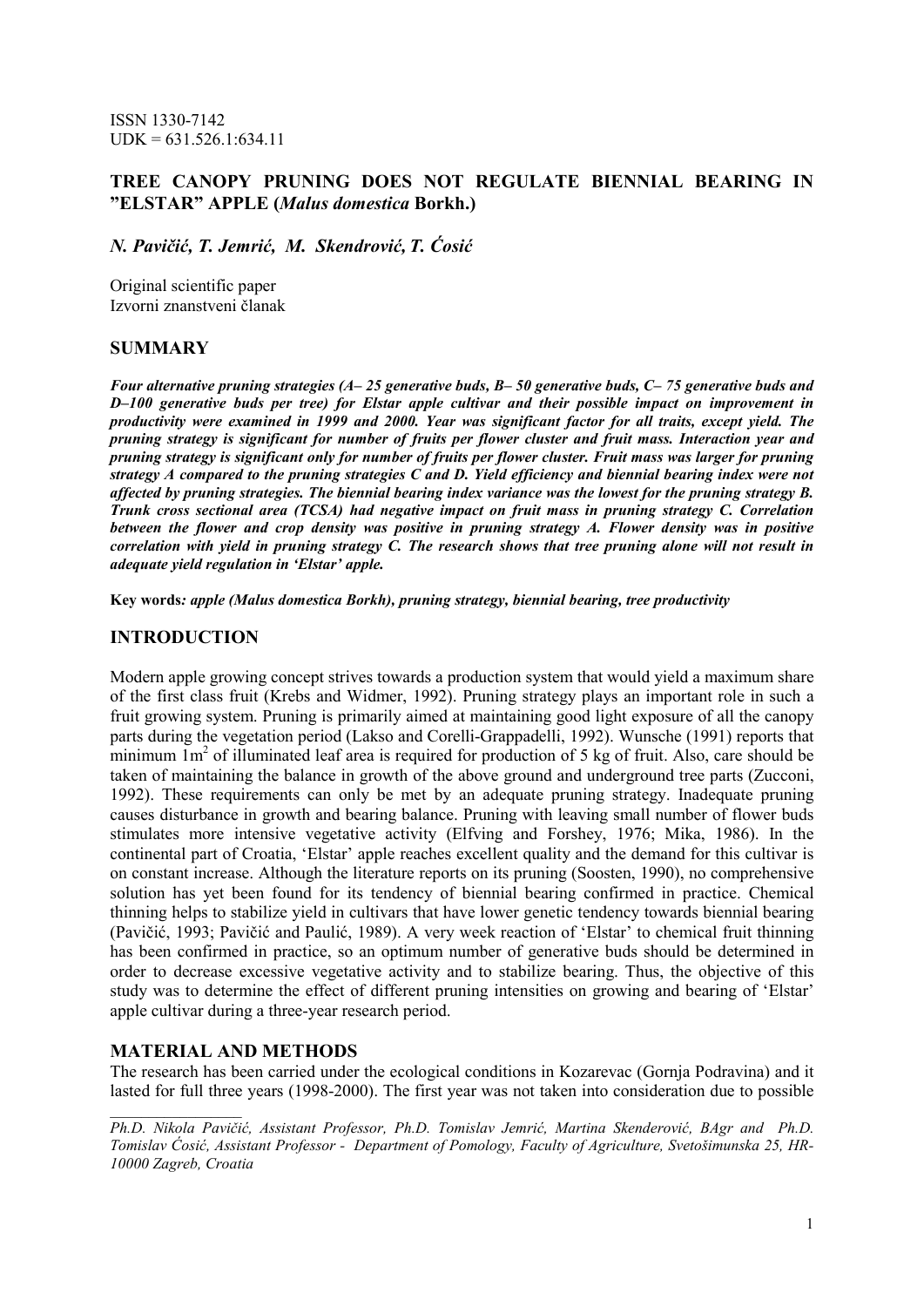ISSN 1330-7142  $UDK = 631.526.1:634.11$ 

## **TREE CANOPY PRUNING DOES NOT REGULATE BIENNIAL BEARING IN "ELSTAR" APPLE (***Malus domestica* **Borkh.)**

*N. Pavičić, T. Jemrić, M. Skendrović, T. Ćosić* 

Original scientific paper Izvorni znanstveni članak

### **SUMMARY**

*Four alternative pruning strategies (A– 25 generative buds, B– 50 generative buds, C– 75 generative buds and D–100 generative buds per tree) for Elstar apple cultivar and their possible impact on improvement in productivity were examined in 1999 and 2000. Year was significant factor for all traits, except yield. The pruning strategy is significant for number of fruits per flower cluster and fruit mass. Interaction year and pruning strategy is significant only for number of fruits per flower cluster. Fruit mass was larger for pruning strategy A compared to the pruning strategies C and D. Yield efficiency and biennial bearing index were not affected by pruning strategies. The biennial bearing index variance was the lowest for the pruning strategy B. Trunk cross sectional area (TCSA) had negative impact on fruit mass in pruning strategy C. Correlation between the flower and crop density was positive in pruning strategy A. Flower density was in positive correlation with yield in pruning strategy C. The research shows that tree pruning alone will not result in adequate yield regulation in 'Elstar' apple.* 

**Key words***: apple (Malus domestica Borkh), pruning strategy, biennial bearing, tree productivity* 

### **INTRODUCTION**

Modern apple growing concept strives towards a production system that would yield a maximum share of the first class fruit (Krebs and Widmer, 1992). Pruning strategy plays an important role in such a fruit growing system. Pruning is primarily aimed at maintaining good light exposure of all the canopy parts during the vegetation period (Lakso and Corelli-Grappadelli, 1992). Wunsche (1991) reports that minimum  $1m<sup>2</sup>$  of illuminated leaf area is required for production of 5 kg of fruit. Also, care should be taken of maintaining the balance in growth of the above ground and underground tree parts (Zucconi, 1992). These requirements can only be met by an adequate pruning strategy. Inadequate pruning causes disturbance in growth and bearing balance. Pruning with leaving small number of flower buds stimulates more intensive vegetative activity (Elfving and Forshey, 1976; Mika, 1986). In the continental part of Croatia, 'Elstar' apple reaches excellent quality and the demand for this cultivar is on constant increase. Although the literature reports on its pruning (Soosten, 1990), no comprehensive solution has yet been found for its tendency of biennial bearing confirmed in practice. Chemical thinning helps to stabilize yield in cultivars that have lower genetic tendency towards biennial bearing (Pavičić, 1993; Pavičić and Paulić, 1989). A very week reaction of 'Elstar' to chemical fruit thinning has been confirmed in practice, so an optimum number of generative buds should be determined in order to decrease excessive vegetative activity and to stabilize bearing. Thus, the objective of this study was to determine the effect of different pruning intensities on growing and bearing of 'Elstar' apple cultivar during a three-year research period.

### **MATERIAL AND METHODS**

*\_\_\_\_\_\_\_\_\_\_\_\_\_\_\_\_\_* 

The research has been carried under the ecological conditions in Kozarevac (Gornja Podravina) and it lasted for full three years (1998-2000). The first year was not taken into consideration due to possible

*Ph.D. Nikola Pavičić, Assistant Professor, Ph.D. Tomislav Jemrić, Martina Skenderović, BAgr and Ph.D. Tomislav Ćosić, Assistant Professor - Department of Pomology, Faculty of Agriculture, Svetošimunska 25, HR-10000 Zagreb, Croatia*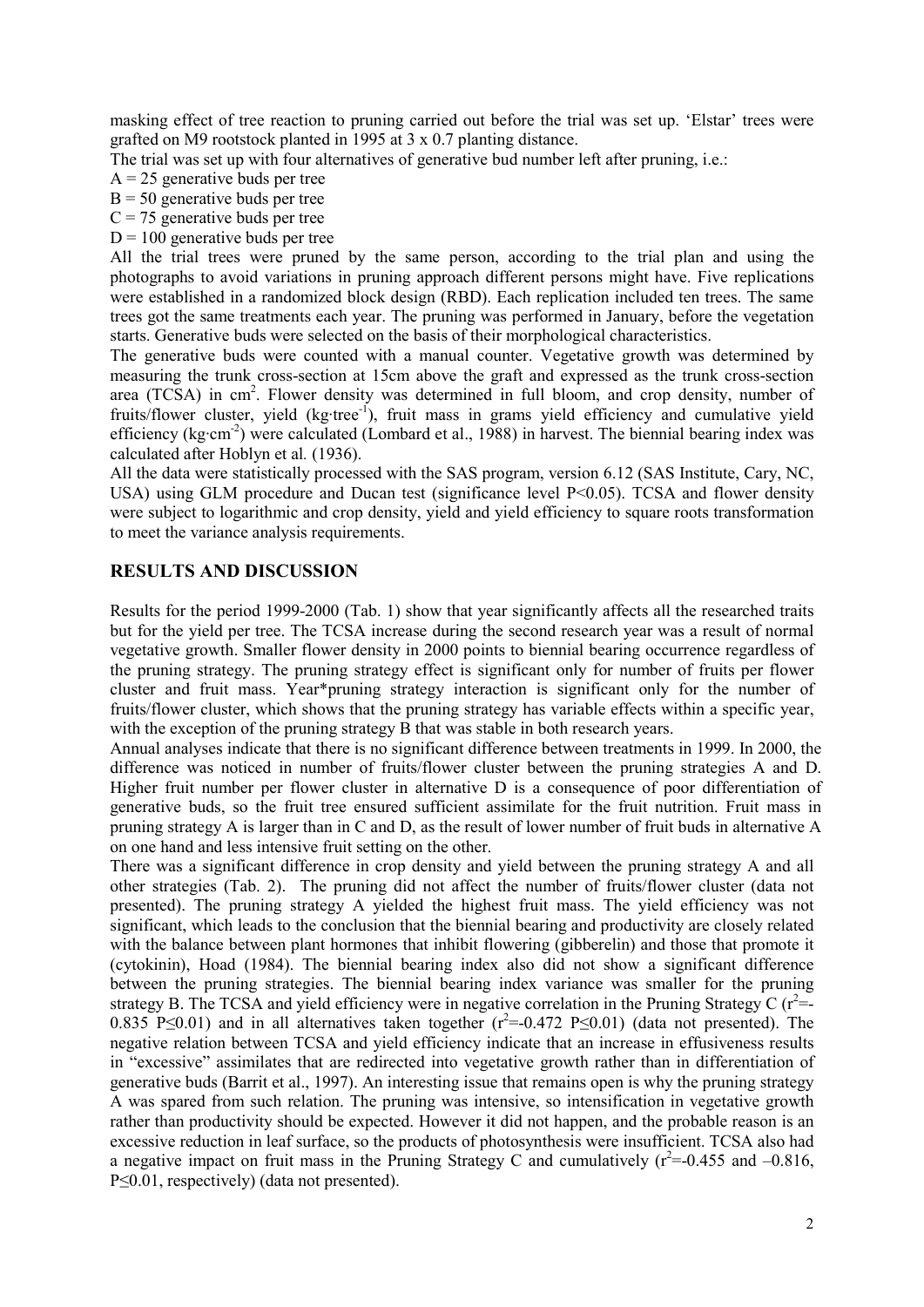masking effect of tree reaction to pruning carried out before the trial was set up. 'Elstar' trees were grafted on M9 rootstock planted in 1995 at 3 x 0.7 planting distance.

The trial was set up with four alternatives of generative bud number left after pruning, i.e.:

- $A = 25$  generative buds per tree
- $B = 50$  generative buds per tree
- $C = 75$  generative buds per tree
- $D = 100$  generative buds per tree

All the trial trees were pruned by the same person, according to the trial plan and using the photographs to avoid variations in pruning approach different persons might have. Five replications were established in a randomized block design (RBD). Each replication included ten trees. The same trees got the same treatments each year. The pruning was performed in January, before the vegetation starts. Generative buds were selected on the basis of their morphological characteristics.

The generative buds were counted with a manual counter. Vegetative growth was determined by measuring the trunk cross-section at 15cm above the graft and expressed as the trunk cross-section area (TCSA) in cm<sup>2</sup>. Flower density was determined in full bloom, and crop density, number of fruits/flower cluster, yield (kg·tree<sup>-1</sup>), fruit mass in grams yield efficiency and cumulative yield efficiency (kg·cm<sup>-2</sup>) were calculated (Lombard et al., 1988) in harvest. The biennial bearing index was calculated after Hoblyn et al*.* (1936).

All the data were statistically processed with the SAS program, version 6.12 (SAS Institute, Cary, NC, USA) using GLM procedure and Ducan test (significance level P<0.05). TCSA and flower density were subject to logarithmic and crop density, yield and yield efficiency to square roots transformation to meet the variance analysis requirements.

## **RESULTS AND DISCUSSION**

Results for the period 1999-2000 (Tab. 1) show that year significantly affects all the researched traits but for the yield per tree. The TCSA increase during the second research year was a result of normal vegetative growth. Smaller flower density in 2000 points to biennial bearing occurrence regardless of the pruning strategy. The pruning strategy effect is significant only for number of fruits per flower cluster and fruit mass. Year\*pruning strategy interaction is significant only for the number of fruits/flower cluster, which shows that the pruning strategy has variable effects within a specific year, with the exception of the pruning strategy B that was stable in both research years.

Annual analyses indicate that there is no significant difference between treatments in 1999. In 2000, the difference was noticed in number of fruits/flower cluster between the pruning strategies A and D. Higher fruit number per flower cluster in alternative D is a consequence of poor differentiation of generative buds, so the fruit tree ensured sufficient assimilate for the fruit nutrition. Fruit mass in pruning strategy A is larger than in C and D, as the result of lower number of fruit buds in alternative A on one hand and less intensive fruit setting on the other.

There was a significant difference in crop density and yield between the pruning strategy A and all other strategies (Tab. 2). The pruning did not affect the number of fruits/flower cluster (data not presented). The pruning strategy A yielded the highest fruit mass. The yield efficiency was not significant, which leads to the conclusion that the biennial bearing and productivity are closely related with the balance between plant hormones that inhibit flowering (gibberelin) and those that promote it (cytokinin), Hoad (1984). The biennial bearing index also did not show a significant difference between the pruning strategies. The biennial bearing index variance was smaller for the pruning strategy B. The TCSA and yield efficiency were in negative correlation in the Pruning Strategy C ( $r^2$ = 0.835 P≤0.01) and in all alternatives taken together  $(r^2=0.472 \text{ P} \le 0.01)$  (data not presented). The negative relation between TCSA and yield efficiency indicate that an increase in effusiveness results in "excessive" assimilates that are redirected into vegetative growth rather than in differentiation of generative buds (Barrit et al., 1997). An interesting issue that remains open is why the pruning strategy A was spared from such relation. The pruning was intensive, so intensification in vegetative growth rather than productivity should be expected. However it did not happen, and the probable reason is an excessive reduction in leaf surface, so the products of photosynthesis were insufficient. TCSA also had a negative impact on fruit mass in the Pruning Strategy C and cumulatively  $(r^2=0.455$  and  $-0.816$ , P≤0.01, respectively) (data not presented).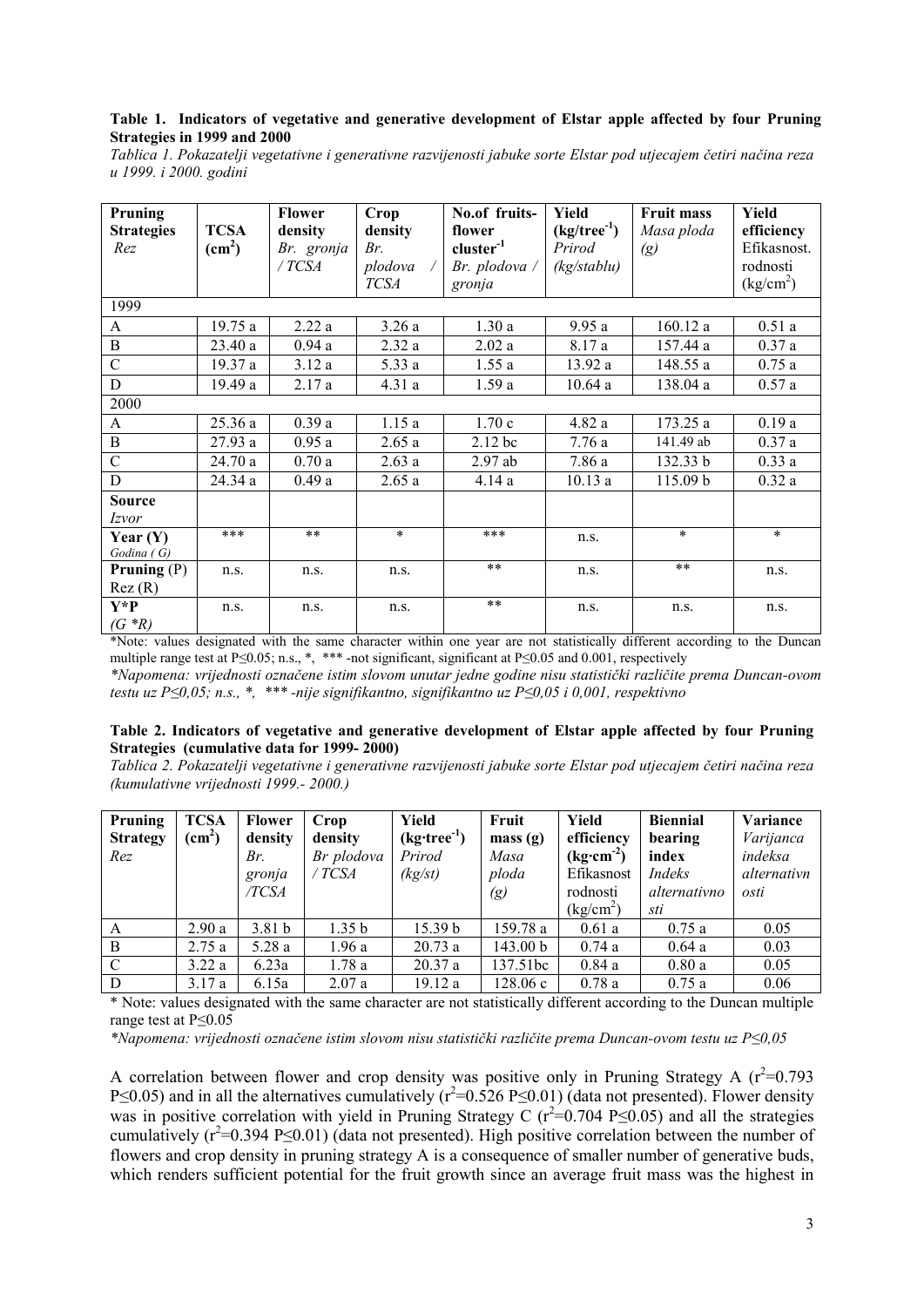#### Table 1. Indicators of vegetative and generative development of Elstar apple affected by four Pruning Strategies in 1999 and 2000

Tablica 1. Pokazatelji vegetativne i generativne razvijenosti jabuke sorte Elstar pod utjecajem četiri načina reza u 1999. i 2000. godini

| Pruning<br><b>Strategies</b> | <b>TCSA</b>     | <b>Flower</b><br>density | <b>Crop</b><br>density | No.of fruits-<br>flower     | Yield<br>$(kg/tree^{-1})$                       | Fruit mass<br>Masa ploda | Yield<br>efficiency                 |  |  |  |  |
|------------------------------|-----------------|--------------------------|------------------------|-----------------------------|-------------------------------------------------|--------------------------|-------------------------------------|--|--|--|--|
| Rez                          | $\text{(cm}^2)$ | Br. gronja               | Br.                    | $cluster^{-1}$              | Prirod                                          | (g)                      | Efikasnost.                         |  |  |  |  |
|                              |                 | / TCSA                   | plodova                | Br. plodova $\overline{\ }$ | $(kg\mathsf{F} \mathsf{S}^{\dagger}\mathsf{F})$ |                          | rodnosti                            |  |  |  |  |
|                              |                 |                          | <b>TCSA</b>            | gronja                      |                                                 |                          | $\frac{\text{kg/cm}^2}{\text{m}^2}$ |  |  |  |  |
| 1999                         |                 |                          |                        |                             |                                                 |                          |                                     |  |  |  |  |
| A                            | 19.75a          | 2.22a                    | 3.26a                  | 1.30a                       | 9.95a                                           | 160.12 a                 | 0.51a                               |  |  |  |  |
| $\, {\bf B}$                 | 23.40a          | 0.94a                    | 2.32a                  | 2.02a                       | 8.17 a                                          | 157.44 a                 | 0.37a                               |  |  |  |  |
| $\mathcal{C}$                | 19.37 a         | 3.12a                    | 5.33 a                 | 1.55a                       | 13.92 a                                         | 148.55 a                 | 0.75a                               |  |  |  |  |
| D                            | 19.49 a         | 2.17a                    | 4.31a                  | 1.59a                       | 10.64a                                          | 138.04 a                 | 0.57a                               |  |  |  |  |
| 2000                         |                 |                          |                        |                             |                                                 |                          |                                     |  |  |  |  |
| A                            | 25.36a          | 0.39a                    | 1.15a                  | 1.70c                       | 4.82 a                                          | 173.25a                  | 0.19a                               |  |  |  |  |
| $\, {\bf B}$                 | 27.93 a         | 0.95a                    | 2.65a                  | 2.12 bc                     | 7.76a                                           | 141.49 ab                | 0.37a                               |  |  |  |  |
| $\mathcal{C}$                | 24.70 a         | 0.70a                    | 2.63a                  | 2.97ab                      | 7.86 a                                          | 132.33 b                 | 0.33a                               |  |  |  |  |
| D                            | 24.34 a         | 0.49a                    | 2.65a                  | 4.14a                       | 10.13a                                          | 115.09 b                 | 0.32a                               |  |  |  |  |
| <b>Source</b>                |                 |                          |                        |                             |                                                 |                          |                                     |  |  |  |  |
| <i>Izvor</i>                 |                 |                          |                        |                             |                                                 |                          |                                     |  |  |  |  |
| Year $(Y)$                   | ***             | $* *$                    | $\ast$                 | $***$                       | n.s.                                            | $\star$                  | $\ast$                              |  |  |  |  |
| Godina(G)                    |                 |                          |                        |                             |                                                 |                          |                                     |  |  |  |  |
| Pruning $(P)$                | n.s.            | n.s.                     | n.s.                   | $**$                        | n.s.                                            | $**$                     | n.s.                                |  |  |  |  |
| Rez(R)                       |                 |                          |                        |                             |                                                 |                          |                                     |  |  |  |  |
| Y*P                          | n.s.            | n.s.                     | n.s.                   | $* *$                       | n.s.                                            | n.s.                     | n.s.                                |  |  |  |  |
| $(G * R)$                    |                 |                          |                        |                             |                                                 |                          |                                     |  |  |  |  |

\*Note: values designated with the same character within one year are not statistically different according to the Duncan multiple range test at  $P \le 0.05$ ; n.s., \*, \*\*\* -not significant, significant at  $P \le 0.05$  and 0.001, respectively

\*Napomena: vrijednosti označene istim slovom unutar jedne godine nisu statistički različite prema Duncan-ovom testu uz P<0.05; n.s., \*, \*\*\*-nije signifikantno, signifikantno uz P<0.05 i 0.001, respektivno

#### Table 2. Indicators of vegetative and generative development of Elstar apple affected by four Pruning Strategies (cumulative data for 1999-2000)

Tablica 2. Pokazatelji vegetativne i generativne razvijenosti jabuke sorte Elstar pod utjecajem četiri načina reza (kumulativne vrijednosti 1999.-2000.)

| Pruning<br><b>Strategy</b><br>Rez | <b>TCSA</b><br>$\text{(cm}^2\text{)}$ | <b>Flower</b><br>density<br>Br. | Crop<br>density<br>Br plodova | Yield<br>$(kg$ ·tree <sup>-1</sup> )<br>Prirod | Fruit<br>mass(g)<br>Masa   | Yield<br>efficiency<br>$(kg\cdot cm^{-2})$                    | <b>Biennial</b><br>bearing<br>index | Variance<br>Varijanca<br>indeksa |
|-----------------------------------|---------------------------------------|---------------------------------|-------------------------------|------------------------------------------------|----------------------------|---------------------------------------------------------------|-------------------------------------|----------------------------------|
|                                   |                                       | gronja<br>/TCSA                 | / TCSA                        | (kg(st))                                       | ploda<br>$\left( g\right)$ | Efikasnost<br>rodnosti<br>$\frac{\text{kg/cm}^2}{\text{m}^2}$ | Indeks<br>alternativno<br>sti       | alternativn<br>osti              |
| A                                 | 2.90a                                 | 3.81 <sub>b</sub>               | 1.35 <sub>b</sub>             | 15.39 b                                        | 159.78 a                   | 0.61a                                                         | 0.75a                               | 0.05                             |
| B                                 | 2.75a                                 | 5.28a                           | 1.96a                         | 20.73a                                         | 143.00 b                   | 0.74a                                                         | 0.64a                               | 0.03                             |
| $\mathcal{C}$                     | 3.22a                                 | 6.23a                           | 1.78a                         | 20.37a                                         | 137.51bc                   | 0.84a                                                         | 0.80a                               | 0.05                             |
| D                                 | 3.17a                                 | 6.15a                           | 2.07a                         | 19.12a                                         | 128.06c                    | 0.78a                                                         | 0.75a                               | 0.06                             |

\* Note: values designated with the same character are not statistically different according to the Duncan multiple range test at  $P \le 0.05$ 

\*Napomena: vrijednosti označene istim slovom nisu statistički različite prema Duncan-ovom testu uz  $P\leq 0.05$ 

A correlation between flower and crop density was positive only in Pruning Strategy A  $(r^2=0.793)$ P<0.05) and in all the alternatives cumulatively  $(r^2=0.526 \text{ P}<0.01)$  (data not presented). Flower density was in positive correlation with yield in Pruning Strategy C ( $r^2=0.704$  P $\leq 0.05$ ) and all the strategies cumulatively  $(r^2=0.394 \text{ P}\leq 0.01)$  (data not presented). High positive correlation between the number of flowers and crop density in pruning strategy A is a consequence of smaller number of generative buds, which renders sufficient potential for the fruit growth since an average fruit mass was the highest in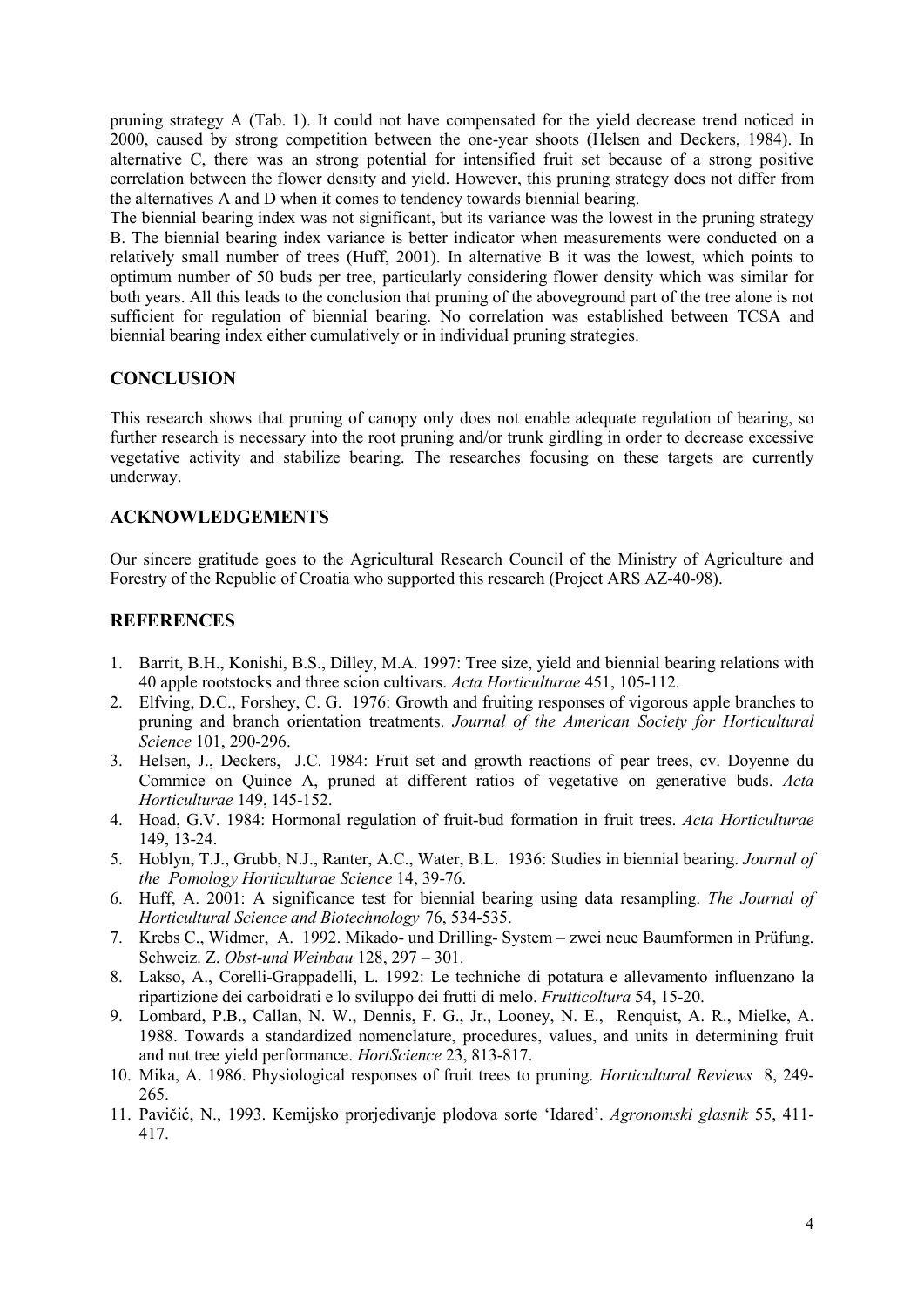pruning strategy A (Tab. 1). It could not have compensated for the yield decrease trend noticed in 2000, caused by strong competition between the one-year shoots (Helsen and Deckers, 1984). In alternative C, there was an strong potential for intensified fruit set because of a strong positive correlation between the flower density and yield. However, this pruning strategy does not differ from the alternatives A and D when it comes to tendency towards biennial bearing.

The biennial bearing index was not significant, but its variance was the lowest in the pruning strategy B. The biennial bearing index variance is better indicator when measurements were conducted on a relatively small number of trees (Huff, 2001). In alternative B it was the lowest, which points to optimum number of 50 buds per tree, particularly considering flower density which was similar for both years. All this leads to the conclusion that pruning of the aboveground part of the tree alone is not sufficient for regulation of biennial bearing. No correlation was established between TCSA and biennial bearing index either cumulatively or in individual pruning strategies.

# **CONCLUSION**

This research shows that pruning of canopy only does not enable adequate regulation of bearing, so further research is necessary into the root pruning and/or trunk girdling in order to decrease excessive vegetative activity and stabilize bearing. The researches focusing on these targets are currently underway.

# **ACKNOWLEDGEMENTS**

Our sincere gratitude goes to the Agricultural Research Council of the Ministry of Agriculture and Forestry of the Republic of Croatia who supported this research (Project ARS AZ-40-98).

# **REFERENCES**

- 1. Barrit, B.H., Konishi, B.S., Dilley, M.A. 1997: Tree size, yield and biennial bearing relations with 40 apple rootstocks and three scion cultivars. *Acta Horticulturae* 451, 105-112.
- 2. Elfving, D.C., Forshey, C. G. 1976: Growth and fruiting responses of vigorous apple branches to pruning and branch orientation treatments. *Journal of the American Society for Horticultural Science* 101, 290-296.
- 3. Helsen, J., Deckers, J.C. 1984: Fruit set and growth reactions of pear trees, cv. Doyenne du Commice on Quince A, pruned at different ratios of vegetative on generative buds. *Acta Horticulturae* 149, 145-152.
- 4. Hoad, G.V. 1984: Hormonal regulation of fruit-bud formation in fruit trees. *Acta Horticulturae* 149, 13-24.
- 5. Hoblyn, T.J., Grubb, N.J., Ranter, A.C., Water, B.L. 1936: Studies in biennial bearing. *Journal of the Pomology Horticulturae Science* 14, 39-76.
- 6. Huff, A. 2001: A significance test for biennial bearing using data resampling. *The Journal of Horticultural Science and Biotechnology* 76, 534-535.
- 7. Krebs C., Widmer, A. 1992. Mikado- und Drilling- System zwei neue Baumformen in Prüfung. Schweiz. Z. *Obst-und Weinbau* 128, 297 – 301.
- 8. Lakso, A., Corelli-Grappadelli, L. 1992: Le techniche di potatura e allevamento influenzano la ripartizione dei carboidrati e lo sviluppo dei frutti di melo. *Frutticoltura* 54, 15-20.
- 9. Lombard, P.B., Callan, N. W., Dennis, F. G., Jr., Looney, N. E., Renquist, A. R., Mielke, A. 1988. Towards a standardized nomenclature, procedures, values, and units in determining fruit and nut tree yield performance. *HortScience* 23, 813-817.
- 10. Mika, A. 1986. Physiological responses of fruit trees to pruning. *Horticultural Reviews* 8, 249- 265.
- 11. Pavičić, N., 1993. Kemijsko prorjedivanje plodova sorte 'Idared'. *Agronomski glasnik* 55, 411- 417.